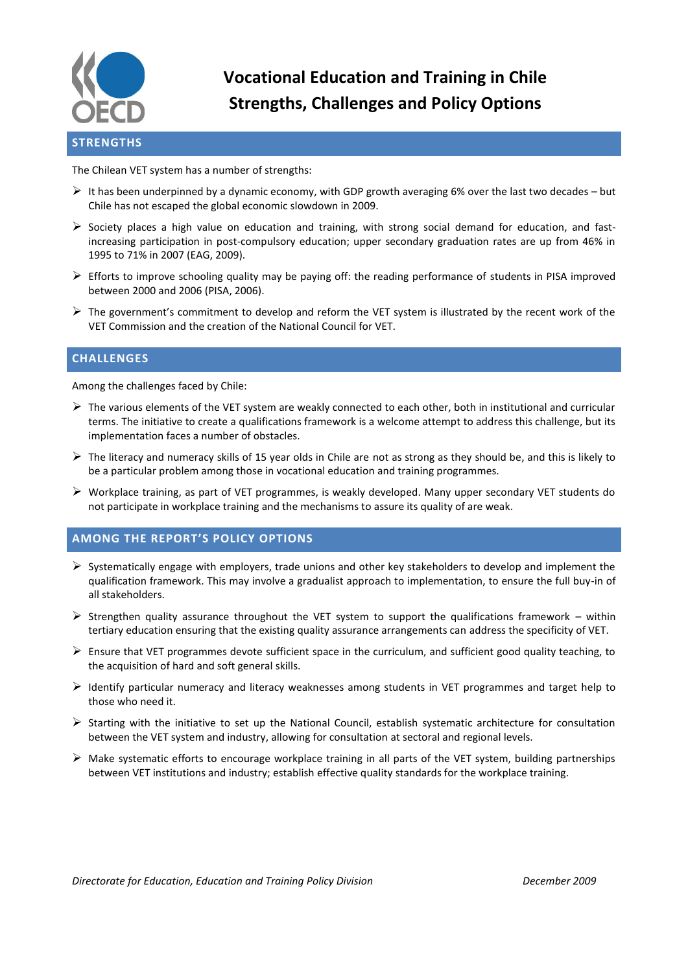

# **Vocational Education and Training in Chile Strengths, Challenges and Policy Options**

#### The Chilean VET system has a number of strengths:

- $\triangleright$  It has been underpinned by a dynamic economy, with GDP growth averaging 6% over the last two decades but Chile has not escaped the global economic slowdown in 2009.
- $\triangleright$  Society places a high value on education and training, with strong social demand for education, and fastincreasing participation in post-compulsory education; upper secondary graduation rates are up from 46% in 1995 to 71% in 2007 (EAG, 2009).
- $\triangleright$  Efforts to improve schooling quality may be paying off: the reading performance of students in PISA improved between 2000 and 2006 (PISA, 2006).
- Fine government's commitment to develop and reform the VET system is illustrated by the recent work of the VET Commission and the creation of the National Council for VET.

### **CHALLENGES**

Among the challenges faced by Chile:

- $\triangleright$  The various elements of the VET system are weakly connected to each other, both in institutional and curricular terms. The initiative to create a qualifications framework is a welcome attempt to address this challenge, but its implementation faces a number of obstacles.
- $\triangleright$  The literacy and numeracy skills of 15 year olds in Chile are not as strong as they should be, and this is likely to be a particular problem among those in vocational education and training programmes.
- $\triangleright$  Workplace training, as part of VET programmes, is weakly developed. Many upper secondary VET students do not participate in workplace training and the mechanisms to assure its quality of are weak.

### **AMONG THE REPORT'S POLICY OPTIONS**

- $\triangleright$  Systematically engage with employers, trade unions and other key stakeholders to develop and implement the qualification framework. This may involve a gradualist approach to implementation, to ensure the full buy-in of all stakeholders.
- $\triangleright$  Strengthen quality assurance throughout the VET system to support the qualifications framework within tertiary education ensuring that the existing quality assurance arrangements can address the specificity of VET.
- $\triangleright$  Ensure that VET programmes devote sufficient space in the curriculum, and sufficient good quality teaching, to the acquisition of hard and soft general skills.
- $\triangleright$  Identify particular numeracy and literacy weaknesses among students in VET programmes and target help to those who need it.
- $\triangleright$  Starting with the initiative to set up the National Council, establish systematic architecture for consultation between the VET system and industry, allowing for consultation at sectoral and regional levels.
- $\triangleright$  Make systematic efforts to encourage workplace training in all parts of the VET system, building partnerships between VET institutions and industry; establish effective quality standards for the workplace training.